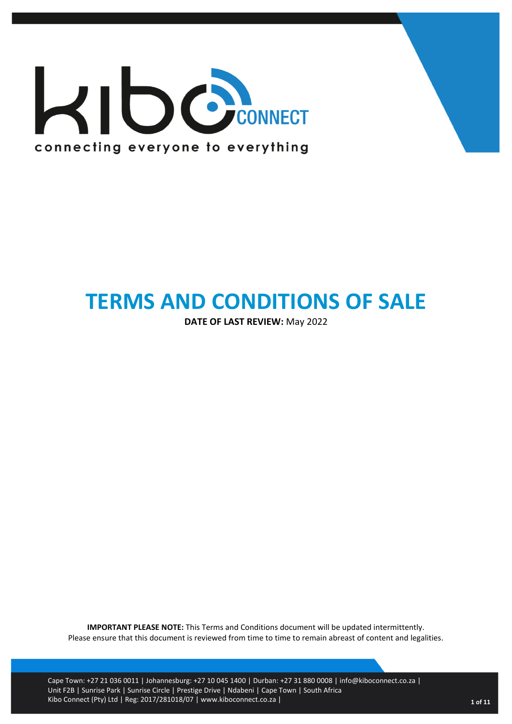

# **TERMS AND CONDITIONS OF SALE**

**DATE OF LAST REVIEW:** May 2022

**IMPORTANT PLEASE NOTE:** This Terms and Conditions document will be updated intermittently. Please ensure that this document is reviewed from time to time to remain abreast of content and legalities.

Cape Town: +27 21 036 0011 | Johannesburg: +27 10 045 1400 | Durban: +27 31 880 0008 | info@kiboconnect.co.za | Unit F2B | Sunrise Park | Sunrise Circle | Prestige Drive | Ndabeni | Cape Town | South Africa Kibo Connect (Pty) Ltd | Reg: 2017/281018/07 | www.kiboconnect.co.za | **<sup>1</sup> of 11**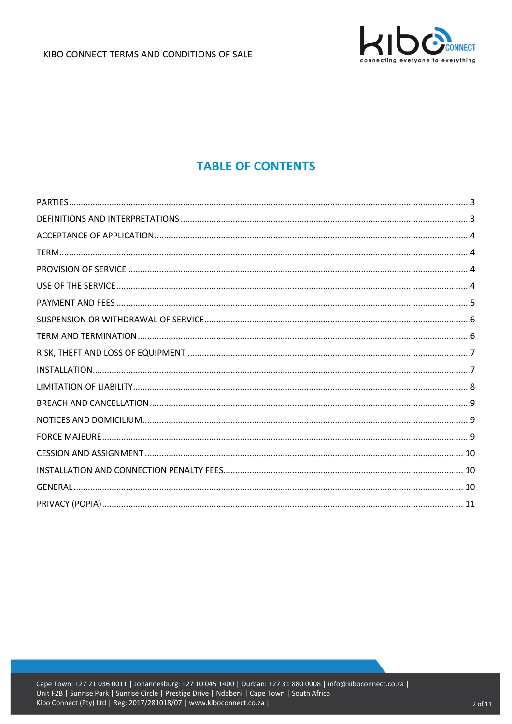

# **TABLE OF CONTENTS**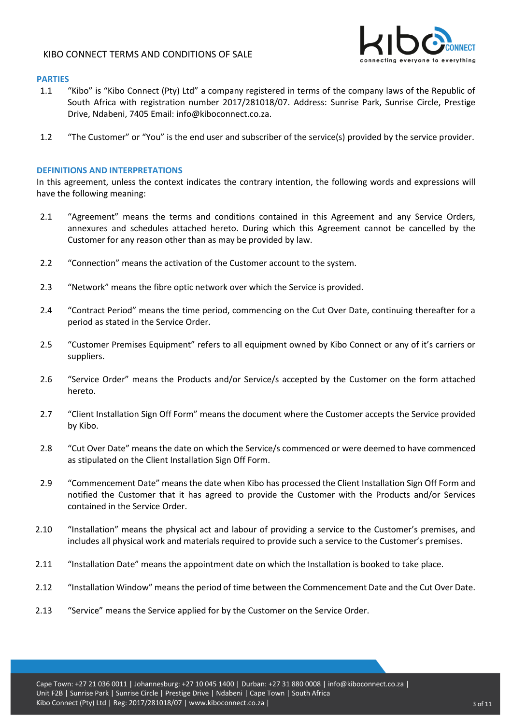

# <span id="page-2-0"></span>**PARTIES**

- 1.1 "Kibo" is "Kibo Connect (Pty) Ltd" a company registered in terms of the company laws of the Republic of South Africa with registration number 2017/281018/07. Address: Sunrise Park, Sunrise Circle, Prestige Drive, Ndabeni, 7405 Email: [info@kiboconnect.co.za.](mailto:info@kiboconnect.co.za)
- 1.2 "The Customer" or "You" is the end user and subscriber of the service(s) provided by the service provider.

#### <span id="page-2-1"></span>**DEFINITIONS AND INTERPRETATIONS**

In this agreement, unless the context indicates the contrary intention, the following words and expressions will have the following meaning:

- 2.1 "Agreement" means the terms and conditions contained in this Agreement and any Service Orders, annexures and schedules attached hereto. During which this Agreement cannot be cancelled by the Customer for any reason other than as may be provided by law.
- 2.2 "Connection" means the activation of the Customer account to the system.
- 2.3 "Network" means the fibre optic network over which the Service is provided.
- 2.4 "Contract Period" means the time period, commencing on the Cut Over Date, continuing thereafter for a period as stated in the Service Order.
- 2.5 "Customer Premises Equipment" refers to all equipment owned by Kibo Connect or any of it's carriers or suppliers.
- 2.6 "Service Order" means the Products and/or Service/s accepted by the Customer on the form attached hereto.
- 2.7 "Client Installation Sign Off Form" means the document where the Customer accepts the Service provided by Kibo.
- 2.8 "Cut Over Date" means the date on which the Service/s commenced or were deemed to have commenced as stipulated on the Client Installation Sign Off Form.
- 2.9 "Commencement Date" means the date when Kibo has processed the Client Installation Sign Off Form and notified the Customer that it has agreed to provide the Customer with the Products and/or Services contained in the Service Order.
- 2.10 "Installation" means the physical act and labour of providing a service to the Customer's premises, and includes all physical work and materials required to provide such a service to the Customer's premises.
- 2.11 "Installation Date" means the appointment date on which the Installation is booked to take place.
- 2.12 "Installation Window" means the period of time between the Commencement Date and the Cut Over Date.
- 2.13 "Service" means the Service applied for by the Customer on the Service Order.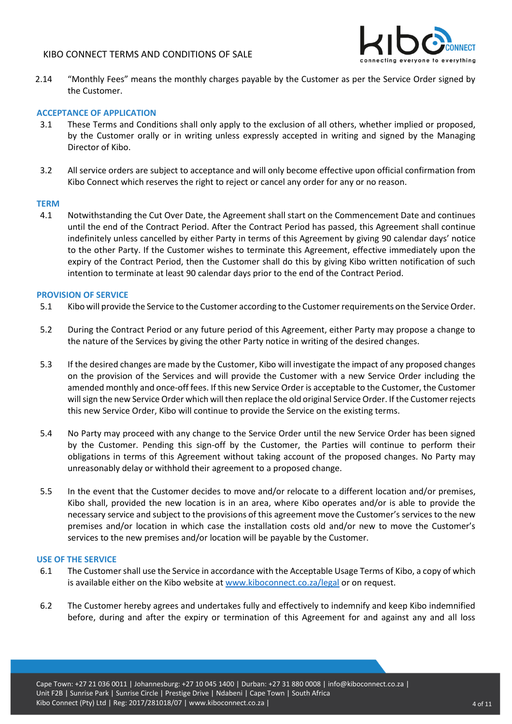

2.14 "Monthly Fees" means the monthly charges payable by the Customer as per the Service Order signed by the Customer.

# <span id="page-3-0"></span>**ACCEPTANCE OF APPLICATION**

- 3.1 These Terms and Conditions shall only apply to the exclusion of all others, whether implied or proposed, by the Customer orally or in writing unless expressly accepted in writing and signed by the Managing Director of Kibo.
- 3.2 All service orders are subject to acceptance and will only become effective upon official confirmation from Kibo Connect which reserves the right to reject or cancel any order for any or no reason.

#### <span id="page-3-1"></span>**TERM**

4.1 Notwithstanding the Cut Over Date, the Agreement shall start on the Commencement Date and continues until the end of the Contract Period. After the Contract Period has passed, this Agreement shall continue indefinitely unless cancelled by either Party in terms of this Agreement by giving 90 calendar days' notice to the other Party. If the Customer wishes to terminate this Agreement, effective immediately upon the expiry of the Contract Period, then the Customer shall do this by giving Kibo written notification of such intention to terminate at least 90 calendar days prior to the end of the Contract Period.

#### <span id="page-3-2"></span>**PROVISION OF SERVICE**

- 5.1 Kibo will provide the Service to the Customer according to the Customer requirements on the Service Order.
- 5.2 During the Contract Period or any future period of this Agreement, either Party may propose a change to the nature of the Services by giving the other Party notice in writing of the desired changes.
- 5.3 If the desired changes are made by the Customer, Kibo will investigate the impact of any proposed changes on the provision of the Services and will provide the Customer with a new Service Order including the amended monthly and once-off fees. If this new Service Order is acceptable to the Customer, the Customer will sign the new Service Order which will then replace the old original Service Order. If the Customer rejects this new Service Order, Kibo will continue to provide the Service on the existing terms.
- 5.4 No Party may proceed with any change to the Service Order until the new Service Order has been signed by the Customer. Pending this sign-off by the Customer, the Parties will continue to perform their obligations in terms of this Agreement without taking account of the proposed changes. No Party may unreasonably delay or withhold their agreement to a proposed change.
- 5.5 In the event that the Customer decides to move and/or relocate to a different location and/or premises, Kibo shall, provided the new location is in an area, where Kibo operates and/or is able to provide the necessary service and subject to the provisions of this agreement move the Customer's services to the new premises and/or location in which case the installation costs old and/or new to move the Customer's services to the new premises and/or location will be payable by the Customer.

#### <span id="page-3-3"></span>**USE OF THE SERVICE**

- 6.1 The Customer shall use the Service in accordance with the Acceptable Usage Terms of Kibo, a copy of which is available either on the Kibo website at [www.kiboconnect.co.za/legal](http://www.kiboconnect.co.za/legal) or on request.
- 6.2 The Customer hereby agrees and undertakes fully and effectively to indemnify and keep Kibo indemnified before, during and after the expiry or termination of this Agreement for and against any and all loss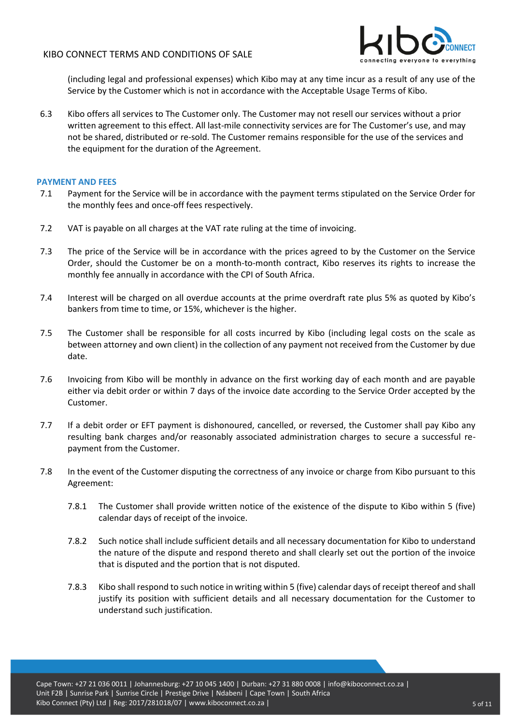

(including legal and professional expenses) which Kibo may at any time incur as a result of any use of the Service by the Customer which is not in accordance with the Acceptable Usage Terms of Kibo.

6.3 Kibo offers all services to The Customer only. The Customer may not resell our services without a prior written agreement to this effect. All last-mile connectivity services are for The Customer's use, and may not be shared, distributed or re-sold. The Customer remains responsible for the use of the services and the equipment for the duration of the Agreement.

# <span id="page-4-0"></span>**PAYMENT AND FEES**

- 7.1 Payment for the Service will be in accordance with the payment terms stipulated on the Service Order for the monthly fees and once-off fees respectively.
- 7.2 VAT is payable on all charges at the VAT rate ruling at the time of invoicing.
- 7.3 The price of the Service will be in accordance with the prices agreed to by the Customer on the Service Order, should the Customer be on a month-to-month contract, Kibo reserves its rights to increase the monthly fee annually in accordance with the CPI of South Africa.
- 7.4 Interest will be charged on all overdue accounts at the prime overdraft rate plus 5% as quoted by Kibo's bankers from time to time, or 15%, whichever is the higher.
- 7.5 The Customer shall be responsible for all costs incurred by Kibo (including legal costs on the scale as between attorney and own client) in the collection of any payment not received from the Customer by due date.
- 7.6 Invoicing from Kibo will be monthly in advance on the first working day of each month and are payable either via debit order or within 7 days of the invoice date according to the Service Order accepted by the Customer.
- 7.7 If a debit order or EFT payment is dishonoured, cancelled, or reversed, the Customer shall pay Kibo any resulting bank charges and/or reasonably associated administration charges to secure a successful repayment from the Customer.
- 7.8 In the event of the Customer disputing the correctness of any invoice or charge from Kibo pursuant to this Agreement:
	- 7.8.1 The Customer shall provide written notice of the existence of the dispute to Kibo within 5 (five) calendar days of receipt of the invoice.
	- 7.8.2 Such notice shall include sufficient details and all necessary documentation for Kibo to understand the nature of the dispute and respond thereto and shall clearly set out the portion of the invoice that is disputed and the portion that is not disputed.
	- 7.8.3 Kibo shall respond to such notice in writing within 5 (five) calendar days of receipt thereof and shall justify its position with sufficient details and all necessary documentation for the Customer to understand such justification.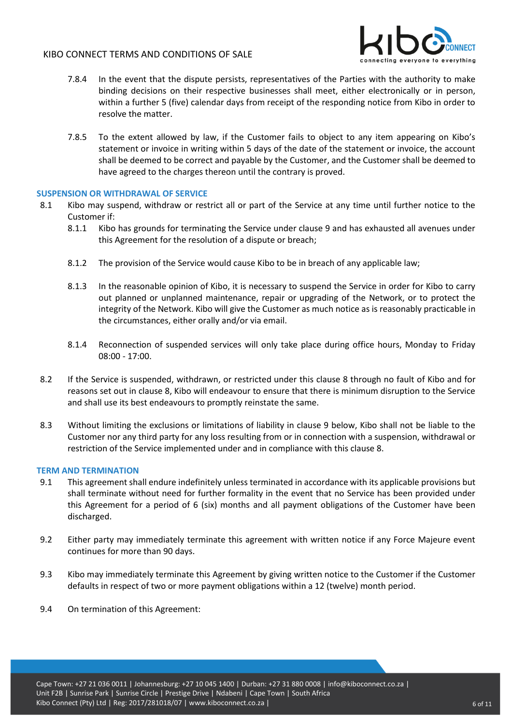

- 7.8.4 In the event that the dispute persists, representatives of the Parties with the authority to make binding decisions on their respective businesses shall meet, either electronically or in person, within a further 5 (five) calendar days from receipt of the responding notice from Kibo in order to resolve the matter.
- 7.8.5 To the extent allowed by law, if the Customer fails to object to any item appearing on Kibo's statement or invoice in writing within 5 days of the date of the statement or invoice, the account shall be deemed to be correct and payable by the Customer, and the Customer shall be deemed to have agreed to the charges thereon until the contrary is proved.

# <span id="page-5-0"></span>**SUSPENSION OR WITHDRAWAL OF SERVICE**

- 8.1 Kibo may suspend, withdraw or restrict all or part of the Service at any time until further notice to the Customer if:
	- 8.1.1 Kibo has grounds for terminating the Service under clause 9 and has exhausted all avenues under this Agreement for the resolution of a dispute or breach;
	- 8.1.2 The provision of the Service would cause Kibo to be in breach of any applicable law;
	- 8.1.3 In the reasonable opinion of Kibo, it is necessary to suspend the Service in order for Kibo to carry out planned or unplanned maintenance, repair or upgrading of the Network, or to protect the integrity of the Network. Kibo will give the Customer as much notice as is reasonably practicable in the circumstances, either orally and/or via email.
	- 8.1.4 Reconnection of suspended services will only take place during office hours, Monday to Friday 08:00 - 17:00.
- 8.2 If the Service is suspended, withdrawn, or restricted under this clause 8 through no fault of Kibo and for reasons set out in clause 8, Kibo will endeavour to ensure that there is minimum disruption to the Service and shall use its best endeavours to promptly reinstate the same.
- 8.3 Without limiting the exclusions or limitations of liability in clause 9 below, Kibo shall not be liable to the Customer nor any third party for any loss resulting from or in connection with a suspension, withdrawal or restriction of the Service implemented under and in compliance with this clause 8.

# <span id="page-5-1"></span>**TERM AND TERMINATION**

- 9.1 This agreement shall endure indefinitely unless terminated in accordance with its applicable provisions but shall terminate without need for further formality in the event that no Service has been provided under this Agreement for a period of 6 (six) months and all payment obligations of the Customer have been discharged.
- 9.2 Either party may immediately terminate this agreement with written notice if any Force Majeure event continues for more than 90 days.
- 9.3 Kibo may immediately terminate this Agreement by giving written notice to the Customer if the Customer defaults in respect of two or more payment obligations within a 12 (twelve) month period.
- 9.4 On termination of this Agreement: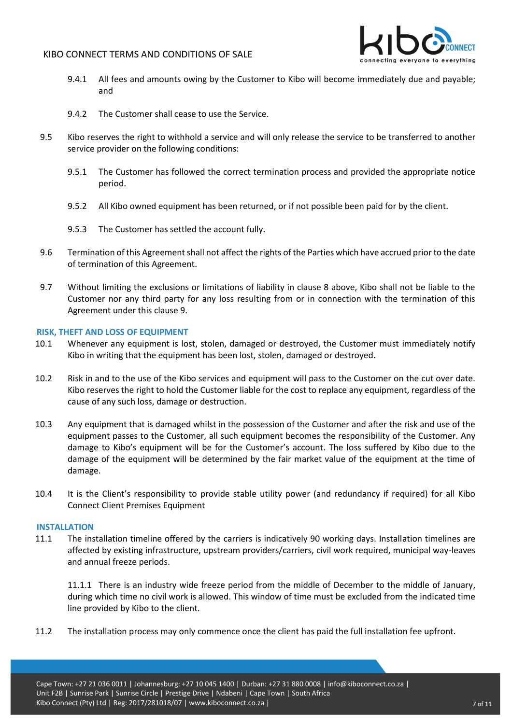

- 9.4.1 All fees and amounts owing by the Customer to Kibo will become immediately due and payable; and
- 9.4.2 The Customer shall cease to use the Service.
- 9.5 Kibo reserves the right to withhold a service and will only release the service to be transferred to another service provider on the following conditions:
	- 9.5.1 The Customer has followed the correct termination process and provided the appropriate notice period.
	- 9.5.2 All Kibo owned equipment has been returned, or if not possible been paid for by the client.
	- 9.5.3 The Customer has settled the account fully.
- 9.6 Termination of this Agreement shall not affect the rights of the Parties which have accrued prior to the date of termination of this Agreement.
- 9.7 Without limiting the exclusions or limitations of liability in clause 8 above, Kibo shall not be liable to the Customer nor any third party for any loss resulting from or in connection with the termination of this Agreement under this clause 9.

#### <span id="page-6-0"></span>**RISK, THEFT AND LOSS OF EQUIPMENT**

- 10.1 Whenever any equipment is lost, stolen, damaged or destroyed, the Customer must immediately notify Kibo in writing that the equipment has been lost, stolen, damaged or destroyed.
- 10.2 Risk in and to the use of the Kibo services and equipment will pass to the Customer on the cut over date. Kibo reserves the right to hold the Customer liable for the cost to replace any equipment, regardless of the cause of any such loss, damage or destruction.
- 10.3 Any equipment that is damaged whilst in the possession of the Customer and after the risk and use of the equipment passes to the Customer, all such equipment becomes the responsibility of the Customer. Any damage to Kibo's equipment will be for the Customer's account. The loss suffered by Kibo due to the damage of the equipment will be determined by the fair market value of the equipment at the time of damage.
- 10.4 It is the Client's responsibility to provide stable utility power (and redundancy if required) for all Kibo Connect Client Premises Equipment

#### <span id="page-6-1"></span>**INSTALLATION**

11.1 The installation timeline offered by the carriers is indicatively 90 working days. Installation timelines are affected by existing infrastructure, upstream providers/carriers, civil work required, municipal way-leaves and annual freeze periods.

11.1.1 There is an industry wide freeze period from the middle of December to the middle of January, during which time no civil work is allowed. This window of time must be excluded from the indicated time line provided by Kibo to the client.

11.2 The installation process may only commence once the client has paid the full installation fee upfront.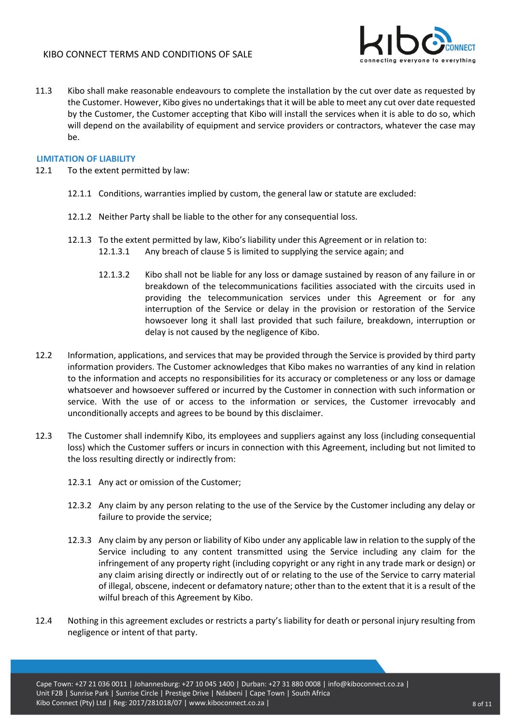

11.3 Kibo shall make reasonable endeavours to complete the installation by the cut over date as requested by the Customer. However, Kibo gives no undertakings that it will be able to meet any cut over date requested by the Customer, the Customer accepting that Kibo will install the services when it is able to do so, which will depend on the availability of equipment and service providers or contractors, whatever the case may be.

# <span id="page-7-0"></span>**LIMITATION OF LIABILITY**

- 12.1 To the extent permitted by law:
	- 12.1.1 Conditions, warranties implied by custom, the general law or statute are excluded:
	- 12.1.2 Neither Party shall be liable to the other for any consequential loss.
	- 12.1.3 To the extent permitted by law, Kibo's liability under this Agreement or in relation to: 12.1.3.1 Any breach of clause 5 is limited to supplying the service again; and
		- 12.1.3.2 Kibo shall not be liable for any loss or damage sustained by reason of any failure in or breakdown of the telecommunications facilities associated with the circuits used in providing the telecommunication services under this Agreement or for any interruption of the Service or delay in the provision or restoration of the Service howsoever long it shall last provided that such failure, breakdown, interruption or delay is not caused by the negligence of Kibo.
- 12.2 Information, applications, and services that may be provided through the Service is provided by third party information providers. The Customer acknowledges that Kibo makes no warranties of any kind in relation to the information and accepts no responsibilities for its accuracy or completeness or any loss or damage whatsoever and howsoever suffered or incurred by the Customer in connection with such information or service. With the use of or access to the information or services, the Customer irrevocably and unconditionally accepts and agrees to be bound by this disclaimer.
- 12.3 The Customer shall indemnify Kibo, its employees and suppliers against any loss (including consequential loss) which the Customer suffers or incurs in connection with this Agreement, including but not limited to the loss resulting directly or indirectly from:
	- 12.3.1 Any act or omission of the Customer;
	- 12.3.2 Any claim by any person relating to the use of the Service by the Customer including any delay or failure to provide the service;
	- 12.3.3 Any claim by any person or liability of Kibo under any applicable law in relation to the supply of the Service including to any content transmitted using the Service including any claim for the infringement of any property right (including copyright or any right in any trade mark or design) or any claim arising directly or indirectly out of or relating to the use of the Service to carry material of illegal, obscene, indecent or defamatory nature; other than to the extent that it is a result of the wilful breach of this Agreement by Kibo.
- 12.4 Nothing in this agreement excludes or restricts a party's liability for death or personal injury resulting from negligence or intent of that party.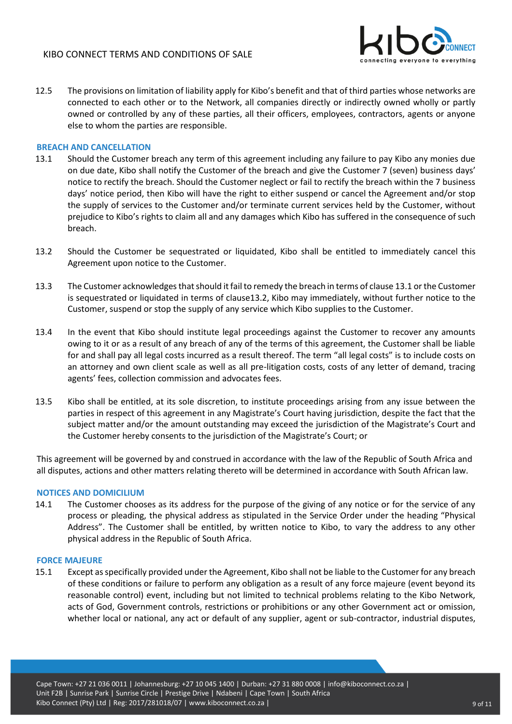

12.5 The provisions on limitation of liability apply for Kibo's benefit and that of third parties whose networks are connected to each other or to the Network, all companies directly or indirectly owned wholly or partly owned or controlled by any of these parties, all their officers, employees, contractors, agents or anyone else to whom the parties are responsible.

#### <span id="page-8-0"></span>**BREACH AND CANCELLATION**

- 13.1 Should the Customer breach any term of this agreement including any failure to pay Kibo any monies due on due date, Kibo shall notify the Customer of the breach and give the Customer 7 (seven) business days' notice to rectify the breach. Should the Customer neglect or fail to rectify the breach within the 7 business days' notice period, then Kibo will have the right to either suspend or cancel the Agreement and/or stop the supply of services to the Customer and/or terminate current services held by the Customer, without prejudice to Kibo's rights to claim all and any damages which Kibo has suffered in the consequence of such breach.
- 13.2 Should the Customer be sequestrated or liquidated, Kibo shall be entitled to immediately cancel this Agreement upon notice to the Customer.
- 13.3 The Customer acknowledges that should it fail to remedy the breach in terms of clause 13.1 or the Customer is sequestrated or liquidated in terms of clause13.2, Kibo may immediately, without further notice to the Customer, suspend or stop the supply of any service which Kibo supplies to the Customer.
- 13.4 In the event that Kibo should institute legal proceedings against the Customer to recover any amounts owing to it or as a result of any breach of any of the terms of this agreement, the Customer shall be liable for and shall pay all legal costs incurred as a result thereof. The term "all legal costs" is to include costs on an attorney and own client scale as well as all pre-litigation costs, costs of any letter of demand, tracing agents' fees, collection commission and advocates fees.
- 13.5 Kibo shall be entitled, at its sole discretion, to institute proceedings arising from any issue between the parties in respect of this agreement in any Magistrate's Court having jurisdiction, despite the fact that the subject matter and/or the amount outstanding may exceed the jurisdiction of the Magistrate's Court and the Customer hereby consents to the jurisdiction of the Magistrate's Court; or

This agreement will be governed by and construed in accordance with the law of the Republic of South Africa and all disputes, actions and other matters relating thereto will be determined in accordance with South African law.

#### <span id="page-8-1"></span>**NOTICES AND DOMICILIUM**

14.1 The Customer chooses as its address for the purpose of the giving of any notice or for the service of any process or pleading, the physical address as stipulated in the Service Order under the heading "Physical Address". The Customer shall be entitled, by written notice to Kibo, to vary the address to any other physical address in the Republic of South Africa.

#### <span id="page-8-2"></span>**FORCE MAJEURE**

15.1 Except as specifically provided under the Agreement, Kibo shall not be liable to the Customer for any breach of these conditions or failure to perform any obligation as a result of any force majeure (event beyond its reasonable control) event, including but not limited to technical problems relating to the Kibo Network, acts of God, Government controls, restrictions or prohibitions or any other Government act or omission, whether local or national, any act or default of any supplier, agent or sub-contractor, industrial disputes,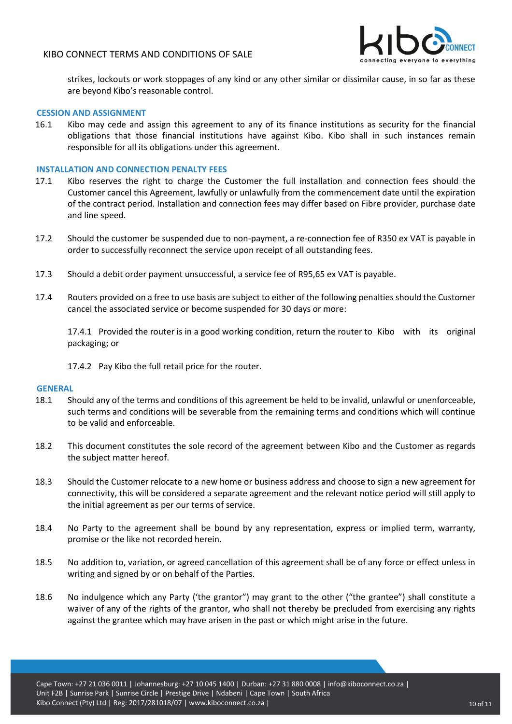

strikes, lockouts or work stoppages of any kind or any other similar or dissimilar cause, in so far as these are beyond Kibo's reasonable control.

#### <span id="page-9-0"></span>**CESSION AND ASSIGNMENT**

16.1 Kibo may cede and assign this agreement to any of its finance institutions as security for the financial obligations that those financial institutions have against Kibo. Kibo shall in such instances remain responsible for all its obligations under this agreement.

#### <span id="page-9-1"></span>**INSTALLATION AND CONNECTION PENALTY FEES**

- 17.1 Kibo reserves the right to charge the Customer the full installation and connection fees should the Customer cancel this Agreement, lawfully or unlawfully from the commencement date until the expiration of the contract period. Installation and connection fees may differ based on Fibre provider, purchase date and line speed.
- 17.2 Should the customer be suspended due to non-payment, a re-connection fee of R350 ex VAT is payable in order to successfully reconnect the service upon receipt of all outstanding fees.
- 17.3 Should a debit order payment unsuccessful, a service fee of R95,65 ex VAT is payable.
- 17.4 Routers provided on a free to use basis are subject to either of the following penalties should the Customer cancel the associated service or become suspended for 30 days or more:

17.4.1 Provided the router is in a good working condition, return the router to Kibo with its original packaging; or

17.4.2 Pay Kibo the full retail price for the router.

#### <span id="page-9-2"></span>**GENERAL**

- 18.1 Should any of the terms and conditions of this agreement be held to be invalid, unlawful or unenforceable, such terms and conditions will be severable from the remaining terms and conditions which will continue to be valid and enforceable.
- 18.2 This document constitutes the sole record of the agreement between Kibo and the Customer as regards the subject matter hereof.
- 18.3 Should the Customer relocate to a new home or business address and choose to sign a new agreement for connectivity, this will be considered a separate agreement and the relevant notice period will still apply to the initial agreement as per our terms of service.
- 18.4 No Party to the agreement shall be bound by any representation, express or implied term, warranty, promise or the like not recorded herein.
- 18.5 No addition to, variation, or agreed cancellation of this agreement shall be of any force or effect unless in writing and signed by or on behalf of the Parties.
- 18.6 No indulgence which any Party ('the grantor") may grant to the other ("the grantee") shall constitute a waiver of any of the rights of the grantor, who shall not thereby be precluded from exercising any rights against the grantee which may have arisen in the past or which might arise in the future.